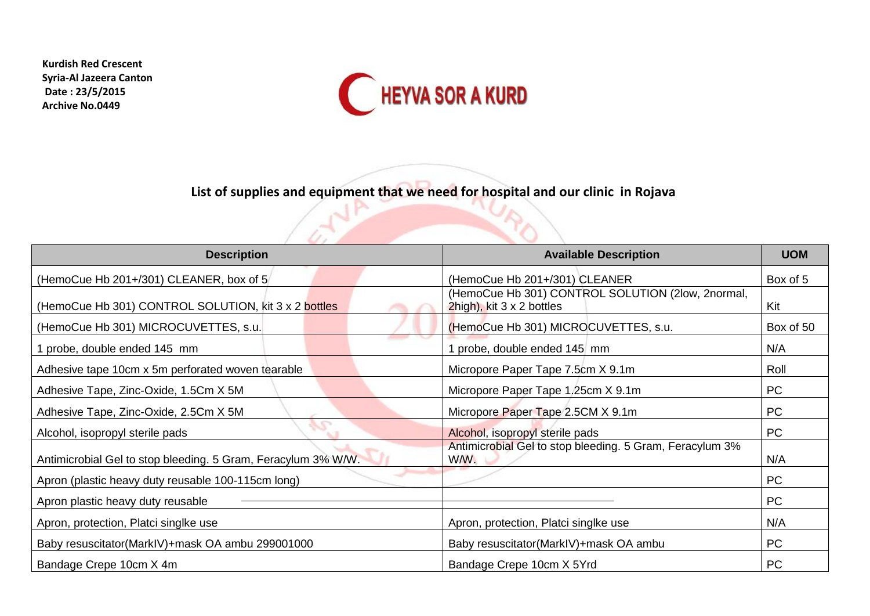**Kurdish Red Crescent Syria-Al Jazeera Canton Date : 23/5/2015 Archive No.0449**



**List of supplies and equipment that we need for hospital and our clinic in Rojava**

P.

| <b>Description</b>                                            | <b>Available Description</b>                                                   | <b>UOM</b> |
|---------------------------------------------------------------|--------------------------------------------------------------------------------|------------|
| (HemoCue Hb 201+/301) CLEANER, box of 5                       | (HemoCue Hb 201+/301) CLEANER                                                  | Box of 5   |
| (HemoCue Hb 301) CONTROL SOLUTION, kit 3 x 2 bottles          | (HemoCue Hb 301) CONTROL SOLUTION (2low, 2normal,<br>2high), kit 3 x 2 bottles | Kit        |
| (HemoCue Hb 301) MICROCUVETTES, s.u.                          | (HemoCue Hb 301) MICROCUVETTES, s.u.                                           | Box of 50  |
| 1 probe, double ended 145 mm                                  | 1 probe, double ended 145 mm                                                   | N/A        |
| Adhesive tape 10cm x 5m perforated woven tearable             | Micropore Paper Tape 7.5cm X 9.1m                                              | Roll       |
| Adhesive Tape, Zinc-Oxide, 1.5Cm X 5M                         | Micropore Paper Tape 1,25cm X 9.1m                                             | PC         |
| Adhesive Tape, Zinc-Oxide, 2.5Cm X 5M                         | Micropore Paper Tape 2.5CM X 9.1m                                              | PC         |
| Alcohol, isopropyl sterile pads                               | Alcohol, isopropyl sterile pads                                                | PC         |
| Antimicrobial Gel to stop bleeding. 5 Gram, Feracylum 3% W/W. | Antimicrobial Gel to stop bleeding. 5 Gram, Feracylum 3%<br>WW.                | N/A        |
| Apron (plastic heavy duty reusable 100-115cm long)            |                                                                                | PC         |
| Apron plastic heavy duty reusable                             |                                                                                | PC         |
| Apron, protection, Platci singlke use                         | Apron, protection, Platci singlke use                                          | N/A        |
| Baby resuscitator(MarkIV)+mask OA ambu 299001000              | Baby resuscitator(MarkIV)+mask OA ambu                                         | PC         |
| Bandage Crepe 10cm X 4m                                       | Bandage Crepe 10cm X 5Yrd                                                      | PC         |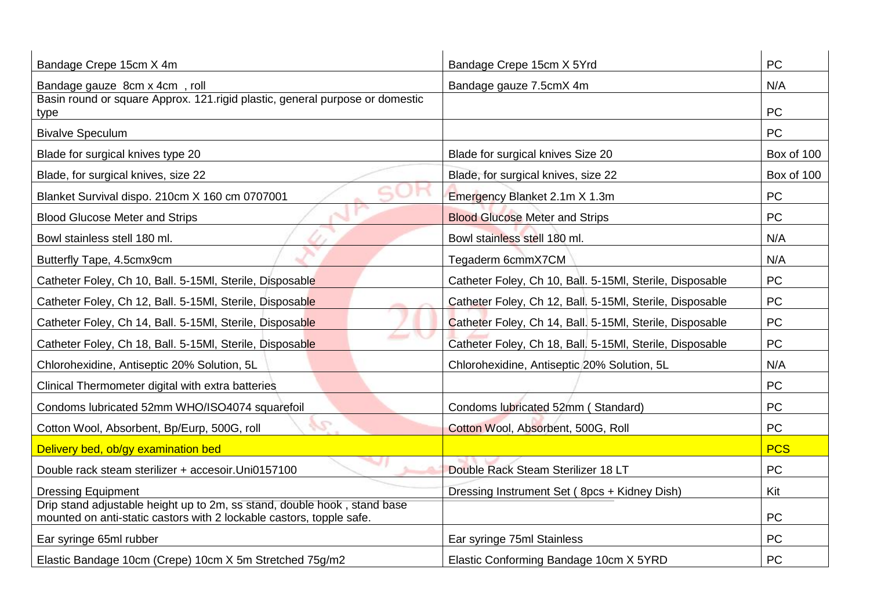| Bandage Crepe 15cm X 4m                                                                                                                          | <b>PC</b><br>Bandage Crepe 15cm X 5Yrd                   |            |
|--------------------------------------------------------------------------------------------------------------------------------------------------|----------------------------------------------------------|------------|
| Bandage gauze 8cm x 4cm, roll                                                                                                                    | Bandage gauze 7.5cmX 4m                                  | N/A        |
| Basin round or square Approx. 121.rigid plastic, general purpose or domestic<br>type                                                             |                                                          | <b>PC</b>  |
| <b>Bivalve Speculum</b>                                                                                                                          |                                                          | <b>PC</b>  |
|                                                                                                                                                  |                                                          |            |
| Blade for surgical knives type 20                                                                                                                | Blade for surgical knives Size 20                        | Box of 100 |
| Blade, for surgical knives, size 22                                                                                                              | Blade, for surgical knives, size 22                      | Box of 100 |
| Blanket Survival dispo. 210cm X 160 cm 0707001                                                                                                   | Emergency Blanket 2.1m X 1.3m                            | <b>PC</b>  |
| <b>Blood Glucose Meter and Strips</b>                                                                                                            | <b>Blood Glucose Meter and Strips</b>                    | <b>PC</b>  |
| Bowl stainless stell 180 ml.                                                                                                                     | Bowl stainless stell 180 ml.                             | N/A        |
| Butterfly Tape, 4.5cmx9cm                                                                                                                        | Tegaderm 6cmmX7CM                                        | N/A        |
| Catheter Foley, Ch 10, Ball. 5-15MI, Sterile, Disposable                                                                                         | Catheter Foley, Ch 10, Ball. 5-15MI, Sterile, Disposable | <b>PC</b>  |
| Catheter Foley, Ch 12, Ball. 5-15MI, Sterile, Disposable                                                                                         | Catheter Foley, Ch 12, Ball. 5-15MI, Sterile, Disposable | PC         |
| Catheter Foley, Ch 14, Ball. 5-15MI, Sterile, Disposable                                                                                         | Catheter Foley, Ch 14, Ball. 5-15MI, Sterile, Disposable | <b>PC</b>  |
| Catheter Foley, Ch 18, Ball. 5-15MI, Sterile, Disposable                                                                                         | Catheter Foley, Ch 18, Ball. 5-15MI, Sterile, Disposable | <b>PC</b>  |
| Chlorohexidine, Antiseptic 20% Solution, 5L                                                                                                      | Chlorohexidine, Antiseptic 20% Solution, 5L              | N/A        |
| Clinical Thermometer digital with extra batteries                                                                                                | <b>PC</b>                                                |            |
| Condoms lubricated 52mm WHO/ISO4074 squarefoil                                                                                                   | Condoms lubricated 52mm (Standard)                       | <b>PC</b>  |
| y C<br>Cotton Wool, Absorbent, Bp/Eurp, 500G, roll                                                                                               | Cotton Wool, Absorbent, 500G, Roll                       | <b>PC</b>  |
| Delivery bed, ob/gy examination bed                                                                                                              |                                                          | <b>PCS</b> |
| Double rack steam sterilizer + accesoir. Uni0157100                                                                                              | Double Rack Steam Sterilizer 18 LT                       | <b>PC</b>  |
| <b>Dressing Equipment</b>                                                                                                                        | Dressing Instrument Set (8pcs + Kidney Dish)             | Kit        |
| Drip stand adjustable height up to 2m, ss stand, double hook, stand base<br>mounted on anti-static castors with 2 lockable castors, topple safe. |                                                          | <b>PC</b>  |
| Ear syringe 65ml rubber                                                                                                                          | Ear syringe 75ml Stainless                               | PC         |
| Elastic Bandage 10cm (Crepe) 10cm X 5m Stretched 75g/m2                                                                                          | Elastic Conforming Bandage 10cm X 5YRD                   | <b>PC</b>  |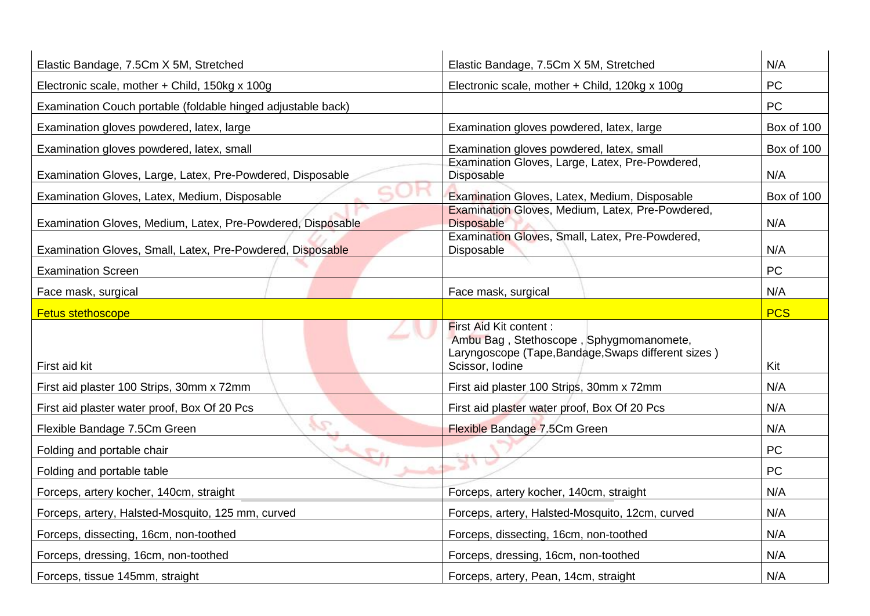| Elastic Bandage, 7.5Cm X 5M, Stretched                       | Elastic Bandage, 7.5Cm X 5M, Stretched                                                                                                             | N/A        |
|--------------------------------------------------------------|----------------------------------------------------------------------------------------------------------------------------------------------------|------------|
| Electronic scale, mother + Child, 150kg x 100g               | Electronic scale, mother + Child, 120kg x 100g                                                                                                     | <b>PC</b>  |
| Examination Couch portable (foldable hinged adjustable back) |                                                                                                                                                    | <b>PC</b>  |
| Examination gloves powdered, latex, large                    | Examination gloves powdered, latex, large                                                                                                          | Box of 100 |
| Examination gloves powdered, latex, small                    | Examination gloves powdered, latex, small                                                                                                          | Box of 100 |
| Examination Gloves, Large, Latex, Pre-Powdered, Disposable   | Examination Gloves, Large, Latex, Pre-Powdered,<br><b>Disposable</b>                                                                               | N/A        |
| Examination Gloves, Latex, Medium, Disposable                | Examination Gloves, Latex, Medium, Disposable                                                                                                      | Box of 100 |
| Examination Gloves, Medium, Latex, Pre-Powdered, Disposable  | Examination Gloves, Medium, Latex, Pre-Powdered,<br><b>Disposable</b>                                                                              | N/A        |
| Examination Gloves, Small, Latex, Pre-Powdered, Disposable   | Examination Gloves, Small, Latex, Pre-Powdered,<br><b>Disposable</b>                                                                               | N/A        |
| <b>Examination Screen</b>                                    |                                                                                                                                                    | <b>PC</b>  |
| Face mask, surgical                                          | Face mask, surgical                                                                                                                                | N/A        |
| <b>Fetus stethoscope</b>                                     |                                                                                                                                                    | <b>PCS</b> |
| First aid kit                                                | <b>First Aid Kit content:</b><br>Ambu Bag, Stethoscope, Sphygmomanomete,<br>Laryngoscope (Tape, Bandage, Swaps different sizes)<br>Scissor, Iodine | Kit        |
| First aid plaster 100 Strips, 30mm x 72mm                    | First aid plaster 100 Strips, 30mm x 72mm                                                                                                          | N/A        |
| First aid plaster water proof, Box Of 20 Pcs                 | First aid plaster water proof, Box Of 20 Pcs                                                                                                       | N/A        |
| $\sqrt{2}$<br>Flexible Bandage 7.5Cm Green                   | Flexible Bandage 7.5Cm Green                                                                                                                       | N/A        |
| $-1$<br>Folding and portable chair                           |                                                                                                                                                    | <b>PC</b>  |
| Folding and portable table                                   |                                                                                                                                                    | <b>PC</b>  |
| Forceps, artery kocher, 140cm, straight                      | Forceps, artery kocher, 140cm, straight                                                                                                            | N/A        |
| Forceps, artery, Halsted-Mosquito, 125 mm, curved            | Forceps, artery, Halsted-Mosquito, 12cm, curved                                                                                                    | N/A        |
| Forceps, dissecting, 16cm, non-toothed                       | Forceps, dissecting, 16cm, non-toothed                                                                                                             | N/A        |
| Forceps, dressing, 16cm, non-toothed                         | Forceps, dressing, 16cm, non-toothed                                                                                                               | N/A        |
| Forceps, tissue 145mm, straight                              | Forceps, artery, Pean, 14cm, straight                                                                                                              | N/A        |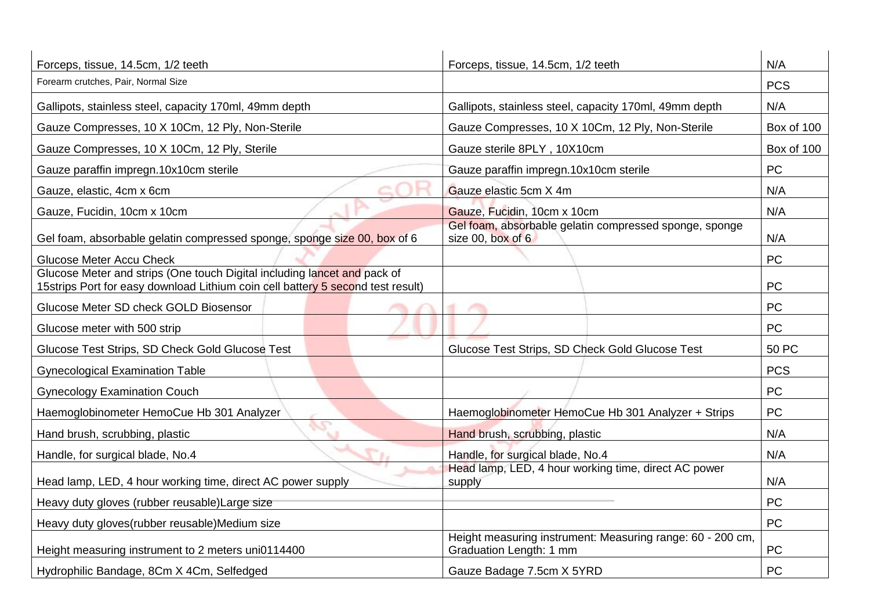| Forceps, tissue, 14.5cm, 1/2 teeth                                                                                                                          | Forceps, tissue, 14.5cm, 1/2 teeth                                                    | N/A        |
|-------------------------------------------------------------------------------------------------------------------------------------------------------------|---------------------------------------------------------------------------------------|------------|
| Forearm crutches, Pair, Normal Size                                                                                                                         |                                                                                       |            |
| Gallipots, stainless steel, capacity 170ml, 49mm depth                                                                                                      | Gallipots, stainless steel, capacity 170ml, 49mm depth                                | N/A        |
| Gauze Compresses, 10 X 10Cm, 12 Ply, Non-Sterile                                                                                                            | Gauze Compresses, 10 X 10Cm, 12 Ply, Non-Sterile                                      | Box of 100 |
| Gauze Compresses, 10 X 10Cm, 12 Ply, Sterile                                                                                                                | Gauze sterile 8PLY, 10X10cm                                                           | Box of 100 |
| Gauze paraffin impregn.10x10cm sterile                                                                                                                      | Gauze paraffin impregn.10x10cm sterile                                                | <b>PC</b>  |
| Gauze, elastic, 4cm x 6cm                                                                                                                                   | Gauze elastic 5cm X 4m                                                                | N/A        |
| Gauze, Fucidin, 10cm x 10cm                                                                                                                                 | Gauze, Fucidin, 10cm x 10cm                                                           | N/A        |
| Gel foam, absorbable gelatin compressed sponge, sponge size 00, box of 6                                                                                    | Gel foam, absorbable gelatin compressed sponge, sponge<br>size 00, box of 6           | N/A        |
| <b>Glucose Meter Accu Check</b>                                                                                                                             |                                                                                       | PC         |
| Glucose Meter and strips (One touch Digital including lancet and pack of<br>15strips Port for easy download Lithium coin cell battery 5 second test result) |                                                                                       | <b>PC</b>  |
| Glucose Meter SD check GOLD Biosensor                                                                                                                       |                                                                                       | <b>PC</b>  |
| Glucose meter with 500 strip                                                                                                                                |                                                                                       | <b>PC</b>  |
| Glucose Test Strips, SD Check Gold Glucose Test                                                                                                             | Glucose Test Strips, SD Check Gold Glucose Test                                       | 50 PC      |
| <b>Gynecological Examination Table</b>                                                                                                                      |                                                                                       | <b>PCS</b> |
| <b>Gynecology Examination Couch</b>                                                                                                                         |                                                                                       | PC         |
| Haemoglobinometer HemoCue Hb 301 Analyzer                                                                                                                   | Haemoglobinometer HemoCue Hb 301 Analyzer + Strips                                    | PC         |
| Hand brush, scrubbing, plastic                                                                                                                              | Hand brush, scrubbing, plastic                                                        | N/A        |
| Handle, for surgical blade, No.4                                                                                                                            | Handle, for surgical blade, No.4                                                      | N/A        |
| Head lamp, LED, 4 hour working time, direct AC power supply                                                                                                 | Head lamp, LED, 4 hour working time, direct AC power<br>supply                        | N/A        |
| Heavy duty gloves (rubber reusable) Large size                                                                                                              |                                                                                       | <b>PC</b>  |
| Heavy duty gloves (rubber reusable) Medium size                                                                                                             |                                                                                       | <b>PC</b>  |
| Height measuring instrument to 2 meters uni0114400                                                                                                          | Height measuring instrument: Measuring range: 60 - 200 cm,<br>Graduation Length: 1 mm | PC         |
| Hydrophilic Bandage, 8Cm X 4Cm, Selfedged                                                                                                                   | Gauze Badage 7.5cm X 5YRD                                                             | <b>PC</b>  |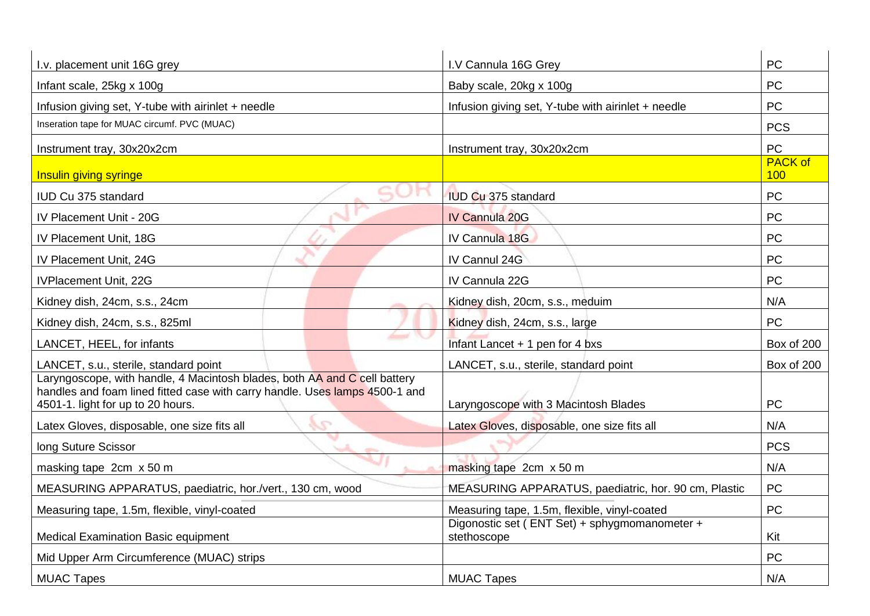| I.v. placement unit 16G grey                                                                                                                                                                  | I.V Cannula 16G Grey                                         | PC                    |
|-----------------------------------------------------------------------------------------------------------------------------------------------------------------------------------------------|--------------------------------------------------------------|-----------------------|
| Infant scale, 25kg x 100g                                                                                                                                                                     | Baby scale, 20kg x 100g                                      | <b>PC</b>             |
| Infusion giving set, Y-tube with airinlet + needle                                                                                                                                            | Infusion giving set, Y-tube with airinlet + needle           | <b>PC</b>             |
| Inseration tape for MUAC circumf. PVC (MUAC)                                                                                                                                                  |                                                              | <b>PCS</b>            |
| Instrument tray, 30x20x2cm                                                                                                                                                                    | Instrument tray, 30x20x2cm                                   | <b>PC</b>             |
| Insulin giving syringe                                                                                                                                                                        |                                                              | <b>PACK of</b><br>100 |
| IUD Cu 375 standard                                                                                                                                                                           | <b>IUD Cu 375 standard</b>                                   | PC                    |
| IV Placement Unit - 20G                                                                                                                                                                       | <b>IV Cannula 20G</b>                                        | PC                    |
| IV Placement Unit, 18G                                                                                                                                                                        | IV Cannula 18G                                               | PC                    |
| IV Placement Unit, 24G                                                                                                                                                                        | IV Cannul 24G                                                | <b>PC</b>             |
| IVPlacement Unit, 22G                                                                                                                                                                         | IV Cannula 22G                                               | <b>PC</b>             |
| Kidney dish, 24cm, s.s., 24cm                                                                                                                                                                 | Kidney dish, 20cm, s.s., meduim                              | N/A                   |
| Kidney dish, 24cm, s.s., 825ml                                                                                                                                                                | Kidney dish, 24cm, s.s., large                               | PC                    |
| LANCET, HEEL, for infants                                                                                                                                                                     | Infant Lancet + 1 pen for 4 bxs                              | Box of 200            |
| LANCET, s.u., sterile, standard point                                                                                                                                                         | LANCET, s.u., sterile, standard point                        | Box of 200            |
| Laryngoscope, with handle, 4 Macintosh blades, both AA and C cell battery<br>handles and foam lined fitted case with carry handle. Uses lamps 4500-1 and<br>4501-1. light for up to 20 hours. | Laryngoscope with 3 Macintosh Blades                         | <b>PC</b>             |
| e<br>Latex Gloves, disposable, one size fits all                                                                                                                                              | Latex Gloves, disposable, one size fits all                  | N/A                   |
| long Suture Scissor<br><b>SALE</b>                                                                                                                                                            |                                                              | <b>PCS</b>            |
| masking tape 2cm x 50 m                                                                                                                                                                       | masking tape 2cm x 50 m                                      | N/A                   |
| MEASURING APPARATUS, paediatric, hor./vert., 130 cm, wood                                                                                                                                     | MEASURING APPARATUS, paediatric, hor. 90 cm, Plastic         | PC                    |
| Measuring tape, 1.5m, flexible, vinyl-coated                                                                                                                                                  | Measuring tape, 1.5m, flexible, vinyl-coated                 | <b>PC</b>             |
| <b>Medical Examination Basic equipment</b>                                                                                                                                                    | Digonostic set (ENT Set) + sphygmomanometer +<br>stethoscope | Kit                   |
| Mid Upper Arm Circumference (MUAC) strips                                                                                                                                                     |                                                              | PC                    |
| <b>MUAC Tapes</b>                                                                                                                                                                             | <b>MUAC Tapes</b>                                            | N/A                   |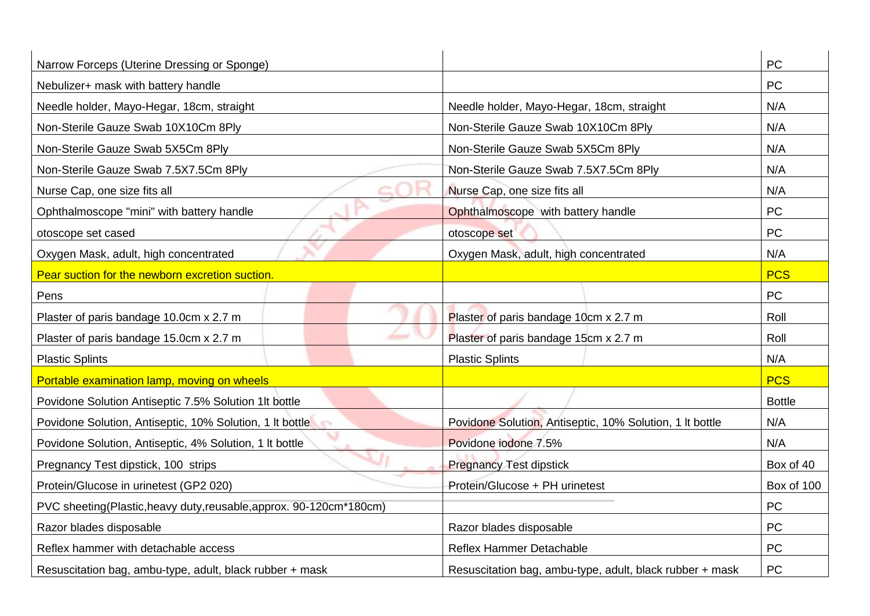| Narrow Forceps (Uterine Dressing or Sponge)                      |                                                          | <b>PC</b>     |
|------------------------------------------------------------------|----------------------------------------------------------|---------------|
| Nebulizer+ mask with battery handle                              |                                                          | PC            |
| Needle holder, Mayo-Hegar, 18cm, straight                        | Needle holder, Mayo-Hegar, 18cm, straight                | N/A           |
| Non-Sterile Gauze Swab 10X10Cm 8Ply                              | Non-Sterile Gauze Swab 10X10Cm 8Ply                      | N/A           |
| Non-Sterile Gauze Swab 5X5Cm 8Ply                                | Non-Sterile Gauze Swab 5X5Cm 8Ply                        | N/A           |
| Non-Sterile Gauze Swab 7.5X7.5Cm 8Ply                            | Non-Sterile Gauze Swab 7.5X7.5Cm 8Ply                    | N/A           |
| Nurse Cap, one size fits all                                     | Nurse Cap, one size fits all                             | N/A           |
| Ophthalmoscope "mini" with battery handle                        | Ophthalmoscope with battery handle                       | PC            |
| otoscope set cased                                               | otoscope set                                             | PC            |
| Oxygen Mask, adult, high concentrated                            | Oxygen Mask, adult, high concentrated                    | N/A           |
| Pear suction for the newborn excretion suction.                  |                                                          | <b>PCS</b>    |
| Pens                                                             |                                                          | PC            |
| Plaster of paris bandage 10.0cm x 2.7 m                          | Plaster of paris bandage 10cm x 2.7 m                    | Roll          |
| Plaster of paris bandage 15.0cm x 2.7 m                          | Plaster of paris bandage 15cm x 2.7 m                    | Roll          |
| <b>Plastic Splints</b>                                           | <b>Plastic Splints</b>                                   | N/A           |
| Portable examination lamp, moving on wheels                      |                                                          | <b>PCS</b>    |
| Povidone Solution Antiseptic 7.5% Solution 1It bottle            |                                                          | <b>Bottle</b> |
| Povidone Solution, Antiseptic, 10% Solution, 1 It bottle         | Povidone Solution, Antiseptic, 10% Solution, 1 It bottle | N/A           |
| Povidone Solution, Antiseptic, 4% Solution, 1 It bottle          | Povidone iodone 7.5%                                     | N/A           |
| Pregnancy Test dipstick, 100 strips                              | <b>Pregnancy Test dipstick</b>                           | Box of 40     |
| Protein/Glucose in urinetest (GP2 020)                           | Protein/Glucose + PH urinetest                           | Box of 100    |
| PVC sheeting(Plastic,heavy duty,reusable,approx. 90-120cm*180cm) |                                                          | PC            |
| Razor blades disposable                                          | Razor blades disposable                                  | PC            |
| Reflex hammer with detachable access                             | <b>Reflex Hammer Detachable</b>                          | PC            |
| Resuscitation bag, ambu-type, adult, black rubber + mask         | Resuscitation bag, ambu-type, adult, black rubber + mask | PC            |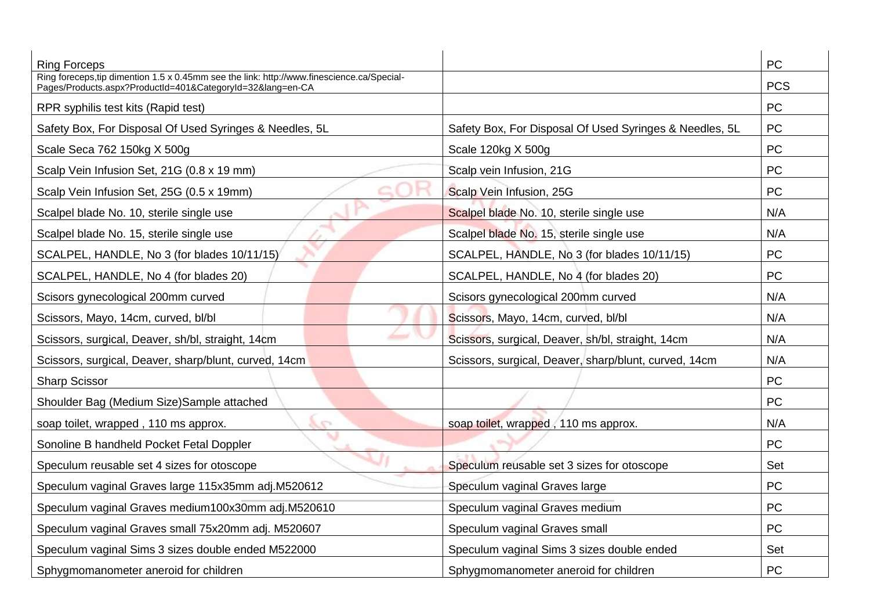| <b>Ring Forceps</b>                                                                                                                                  |                                                         | <b>PC</b>  |
|------------------------------------------------------------------------------------------------------------------------------------------------------|---------------------------------------------------------|------------|
| Ring foreceps, tip dimention 1.5 x 0.45mm see the link: http://www.finescience.ca/Special-<br>Pages/Products.aspx?ProductId=401&CategoryId=32⟨=en-CA |                                                         | <b>PCS</b> |
| RPR syphilis test kits (Rapid test)                                                                                                                  |                                                         | <b>PC</b>  |
| Safety Box, For Disposal Of Used Syringes & Needles, 5L                                                                                              | Safety Box, For Disposal Of Used Syringes & Needles, 5L | <b>PC</b>  |
| Scale Seca 762 150kg X 500g                                                                                                                          | Scale 120kg X 500g                                      | <b>PC</b>  |
| Scalp Vein Infusion Set, 21G (0.8 x 19 mm)                                                                                                           | Scalp vein Infusion, 21G                                | <b>PC</b>  |
| Scalp Vein Infusion Set, 25G (0.5 x 19mm)                                                                                                            | Scalp Vein Infusion, 25G                                | <b>PC</b>  |
| Scalpel blade No. 10, sterile single use                                                                                                             | Scalpel blade No. 10, sterile single use                | N/A        |
| Scalpel blade No. 15, sterile single use                                                                                                             | Scalpel blade No. 15, sterile single use                | N/A        |
| SCALPEL, HANDLE, No 3 (for blades 10/11/15)                                                                                                          | SCALPEL, HANDLE, No 3 (for blades 10/11/15)             | <b>PC</b>  |
| SCALPEL, HANDLE, No 4 (for blades 20)                                                                                                                | SCALPEL, HANDLE, No 4 (for blades 20)                   | <b>PC</b>  |
| Scisors gynecological 200mm curved                                                                                                                   | Scisors gynecological 200mm curved                      | N/A        |
| Scissors, Mayo, 14cm, curved, bl/bl                                                                                                                  | Scissors, Mayo, 14cm, curved, bl/bl                     | N/A        |
| Scissors, surgical, Deaver, sh/bl, straight, 14cm                                                                                                    | Scissors, surgical, Deaver, sh/bl, straight, 14cm       | N/A        |
| Scissors, surgical, Deaver, sharp/blunt, curved, 14cm                                                                                                | Scissors, surgical, Deaver, sharp/blunt, curved, 14cm   | N/A        |
| <b>Sharp Scissor</b>                                                                                                                                 |                                                         | <b>PC</b>  |
| Shoulder Bag (Medium Size) Sample attached                                                                                                           |                                                         | <b>PC</b>  |
| soap toilet, wrapped, 110 ms approx.<br>G                                                                                                            | soap toilet, wrapped, 110 ms approx.                    | N/A        |
| Sonoline B handheld Pocket Fetal Doppler                                                                                                             |                                                         | <b>PC</b>  |
| Speculum reusable set 4 sizes for otoscope                                                                                                           | Speculum reusable set 3 sizes for otoscope              | Set        |
| Speculum vaginal Graves large 115x35mm adj.M520612                                                                                                   | Speculum vaginal Graves large                           | <b>PC</b>  |
| Speculum vaginal Graves medium100x30mm adj.M520610                                                                                                   | Speculum vaginal Graves medium                          | <b>PC</b>  |
| Speculum vaginal Graves small 75x20mm adj. M520607                                                                                                   | Speculum vaginal Graves small                           | <b>PC</b>  |
| Speculum vaginal Sims 3 sizes double ended M522000                                                                                                   | Speculum vaginal Sims 3 sizes double ended              | Set        |
| Sphygmomanometer aneroid for children                                                                                                                | Sphygmomanometer aneroid for children                   | <b>PC</b>  |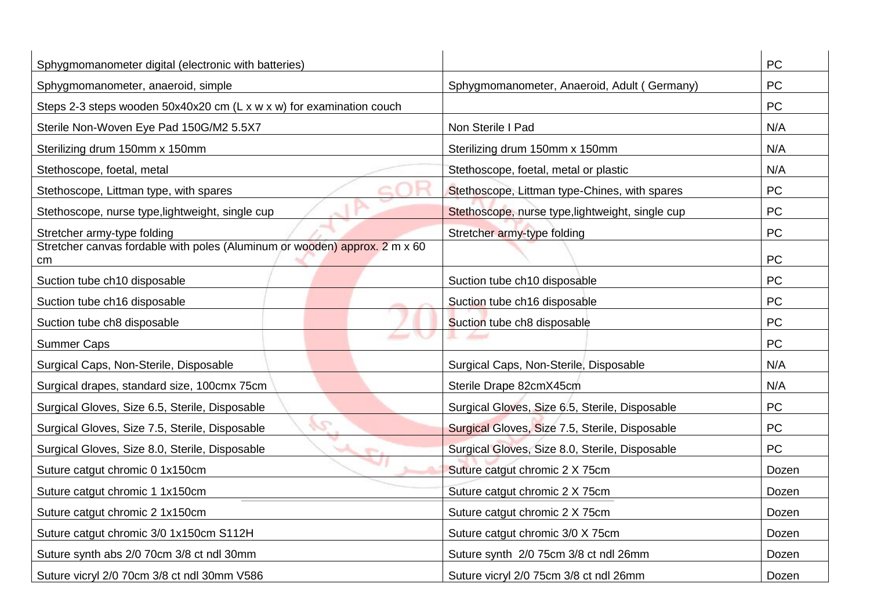| Sphygmomanometer digital (electronic with batteries)                             |                                                  | PC        |
|----------------------------------------------------------------------------------|--------------------------------------------------|-----------|
| Sphygmomanometer, anaeroid, simple                                               | Sphygmomanometer, Anaeroid, Adult (Germany)      | <b>PC</b> |
| Steps 2-3 steps wooden 50x40x20 cm (L x w x w) for examination couch             |                                                  | <b>PC</b> |
| Sterile Non-Woven Eye Pad 150G/M2 5.5X7                                          | Non Sterile I Pad                                | N/A       |
| Sterilizing drum 150mm x 150mm                                                   | Sterilizing drum 150mm x 150mm                   | N/A       |
| Stethoscope, foetal, metal                                                       | Stethoscope, foetal, metal or plastic            | N/A       |
| Stethoscope, Littman type, with spares                                           | Stethoscope, Littman type-Chines, with spares    | PC        |
| Stethoscope, nurse type, lightweight, single cup                                 | Stethoscope, nurse type, lightweight, single cup | PC        |
| Stretcher army-type folding                                                      | Stretcher army-type folding                      | PC        |
| Stretcher canvas fordable with poles (Aluminum or wooden) approx. 2 m x 60<br>cm |                                                  | PC        |
| Suction tube ch10 disposable                                                     | Suction tube ch10 disposable                     | PC        |
| Suction tube ch16 disposable                                                     | Suction tube ch16 disposable                     | PC        |
| Suction tube ch8 disposable                                                      | Suction tube ch8 disposable                      | PC        |
| <b>Summer Caps</b>                                                               |                                                  | <b>PC</b> |
| Surgical Caps, Non-Sterile, Disposable                                           | Surgical Caps, Non-Sterile, Disposable           | N/A       |
| Surgical drapes, standard size, 100cmx 75cm                                      | Sterile Drape 82cmX45cm                          | N/A       |
| Surgical Gloves, Size 6.5, Sterile, Disposable                                   | Surgical Gloves, Size 6.5, Sterile, Disposable   | PC        |
| S<br>Surgical Gloves, Size 7.5, Sterile, Disposable                              | Surgical Gloves, Size 7.5, Sterile, Disposable   | PC        |
| Surgical Gloves, Size 8.0, Sterile, Disposable                                   | Surgical Gloves, Size 8.0, Sterile, Disposable   | PC        |
| Suture catgut chromic 0 1x150cm                                                  | Suture catgut chromic 2 X 75cm                   | Dozen     |
| Suture catgut chromic 1 1x150cm                                                  | Suture catgut chromic 2 X 75cm                   | Dozen     |
| Suture catgut chromic 2 1x150cm                                                  | Suture catgut chromic 2 X 75cm                   | Dozen     |
| Suture catgut chromic 3/0 1x150cm S112H                                          | Suture catgut chromic 3/0 X 75cm                 | Dozen     |
| Suture synth abs 2/0 70cm 3/8 ct ndl 30mm                                        | Suture synth 2/0 75cm 3/8 ct ndl 26mm            | Dozen     |
| Suture vicryl 2/0 70cm 3/8 ct ndl 30mm V586                                      | Suture vicryl 2/0 75cm 3/8 ct ndl 26mm           | Dozen     |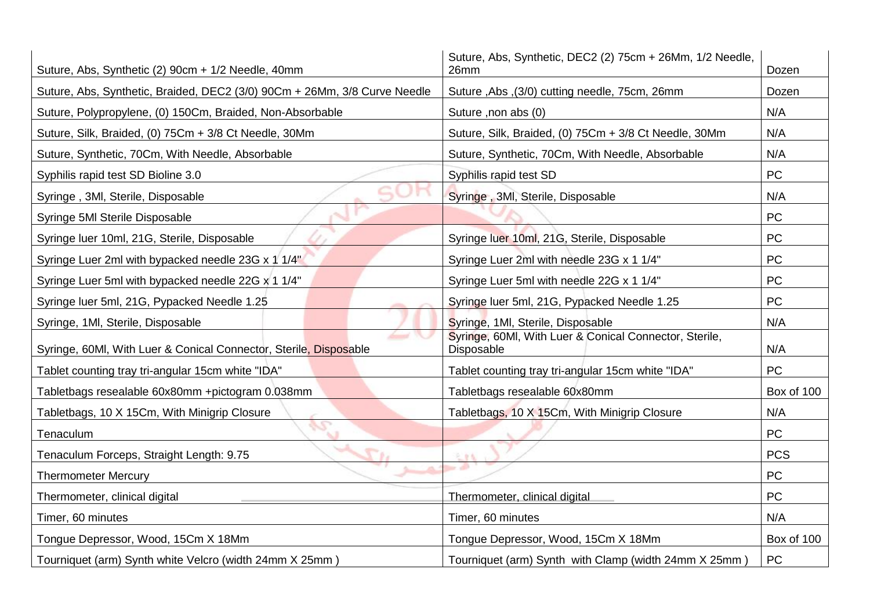| Suture, Abs, Synthetic (2) 90cm + 1/2 Needle, 40mm                        | Suture, Abs, Synthetic, DEC2 (2) 75cm + 26Mm, 1/2 Needle,<br>26mm           | Dozen      |
|---------------------------------------------------------------------------|-----------------------------------------------------------------------------|------------|
| Suture, Abs, Synthetic, Braided, DEC2 (3/0) 90Cm + 26Mm, 3/8 Curve Needle | Suture , Abs , (3/0) cutting needle, 75cm, 26mm                             |            |
| Suture, Polypropylene, (0) 150Cm, Braided, Non-Absorbable                 | Suture, non abs (0)                                                         | N/A        |
| Suture, Silk, Braided, (0) 75Cm + 3/8 Ct Needle, 30Mm                     | Suture, Silk, Braided, (0) 75Cm + 3/8 Ct Needle, 30Mm                       | N/A        |
| Suture, Synthetic, 70Cm, With Needle, Absorbable                          | Suture, Synthetic, 70Cm, With Needle, Absorbable                            | N/A        |
| Syphilis rapid test SD Bioline 3.0                                        | Syphilis rapid test SD                                                      | <b>PC</b>  |
| Syringe, 3MI, Sterile, Disposable                                         | Syringe, 3MI, Sterile, Disposable                                           | N/A        |
| Syringe 5MI Sterile Disposable                                            |                                                                             | <b>PC</b>  |
| Syringe luer 10ml, 21G, Sterile, Disposable                               | Syringe luer 10ml, 21G, Sterile, Disposable                                 | PC         |
| Syringe Luer 2ml with bypacked needle 23G x 1 1/4"                        | Syringe Luer 2ml with needle 23G x 1 1/4"                                   | <b>PC</b>  |
| Syringe Luer 5ml with bypacked needle 22G x 1 1/4"                        | Syringe Luer 5ml with needle 22G x 1 1/4"                                   | <b>PC</b>  |
| Syringe luer 5ml, 21G, Pypacked Needle 1.25                               | Syringe luer 5ml, 21G, Pypacked Needle 1.25                                 | <b>PC</b>  |
| Syringe, 1MI, Sterile, Disposable                                         | Syringe, 1MI, Sterile, Disposable                                           |            |
| Syringe, 60MI, With Luer & Conical Connector, Sterile, Disposable         | Syringe, 60Ml, With Luer & Conical Connector, Sterile,<br>Disposable<br>N/A |            |
| Tablet counting tray tri-angular 15cm white "IDA"                         | Tablet counting tray tri-angular 15cm white "IDA"                           | <b>PC</b>  |
| Tabletbags resealable 60x80mm +pictogram 0.038mm                          | Tabletbags resealable 60x80mm                                               | Box of 100 |
| Tabletbags, 10 X 15Cm, With Minigrip Closure                              | Tabletbags, 10 X 15Cm, With Minigrip Closure                                | N/A        |
| Tenaculum                                                                 |                                                                             | <b>PC</b>  |
| Tenaculum Forceps, Straight Length: 9.75                                  | 元单位                                                                         | <b>PCS</b> |
| <b>Thermometer Mercury</b>                                                |                                                                             | PC         |
| Thermometer, clinical digital                                             | Thermometer, clinical digital                                               | <b>PC</b>  |
| Timer, 60 minutes                                                         | Timer, 60 minutes                                                           | N/A        |
| Tongue Depressor, Wood, 15Cm X 18Mm                                       | Tongue Depressor, Wood, 15Cm X 18Mm                                         | Box of 100 |
| Tourniquet (arm) Synth white Velcro (width 24mm X 25mm)                   | Tourniquet (arm) Synth with Clamp (width 24mm X 25mm)                       | PC         |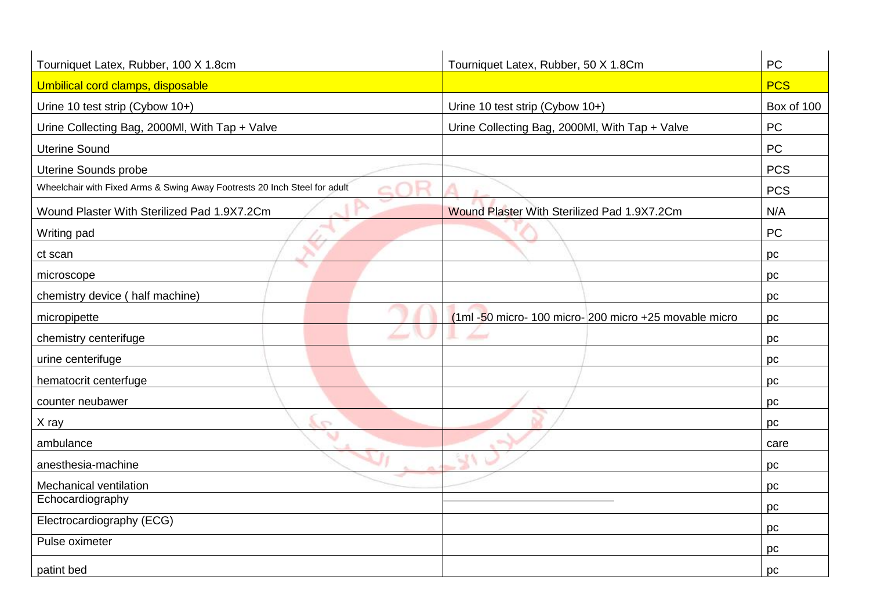| Tourniquet Latex, Rubber, 100 X 1.8cm                                                      | Tourniquet Latex, Rubber, 50 X 1.8Cm                      | PC         |
|--------------------------------------------------------------------------------------------|-----------------------------------------------------------|------------|
| Umbilical cord clamps, disposable                                                          |                                                           | <b>PCS</b> |
| Urine 10 test strip (Cybow 10+)                                                            | Urine 10 test strip (Cybow 10+)                           | Box of 100 |
| Urine Collecting Bag, 2000Ml, With Tap + Valve                                             | Urine Collecting Bag, 2000Ml, With Tap + Valve            | <b>PC</b>  |
| <b>Uterine Sound</b>                                                                       |                                                           | PC         |
| Uterine Sounds probe                                                                       |                                                           | <b>PCS</b> |
| Wheelchair with Fixed Arms & Swing Away Footrests 20 Inch Steel for adult<br>$\rightarrow$ |                                                           | <b>PCS</b> |
| Wound Plaster With Sterilized Pad 1.9X7.2Cm                                                | Wound Plaster With Sterilized Pad 1.9X7.2Cm               | N/A        |
| Writing pad                                                                                |                                                           | <b>PC</b>  |
| ct scan                                                                                    |                                                           | pc         |
| microscope                                                                                 |                                                           | pc         |
| chemistry device (half machine)                                                            |                                                           | pc         |
| micropipette                                                                               | $(1ml - 50$ micro- 100 micro- 200 micro +25 movable micro | pc         |
| chemistry centerifuge                                                                      | <b>Service St</b>                                         | pc         |
| urine centerifuge                                                                          |                                                           | pc         |
| hematocrit centerfuge                                                                      |                                                           | pc         |
| counter neubawer                                                                           |                                                           | pc         |
| X ray<br>o                                                                                 |                                                           | pc         |
| ambulance                                                                                  |                                                           | care       |
| anesthesia-machine                                                                         |                                                           | pc         |
| Mechanical ventilation                                                                     |                                                           | pc         |
| Echocardiography                                                                           |                                                           | pc         |
| Electrocardiography (ECG)                                                                  |                                                           | pc         |
| Pulse oximeter                                                                             |                                                           | pc         |
| patint bed                                                                                 |                                                           | pc         |
|                                                                                            |                                                           |            |